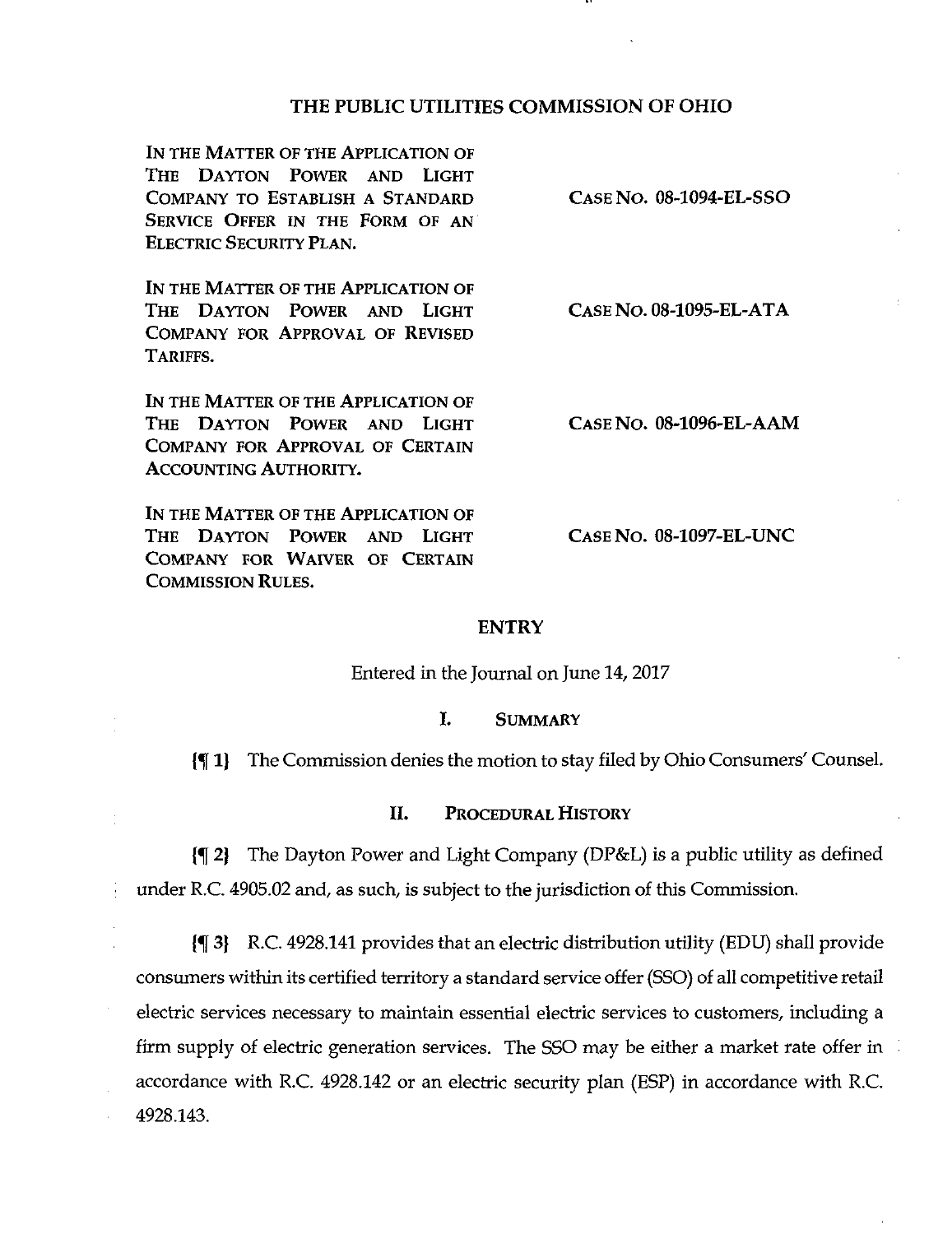# THE PUBLIC UTILITIES COMMISSION OF OHIO

IN THE MATTER OF THE APPLICATION OF THE DAYTON POWER AND LIGHT COMPANY TO ESTABLISH A STANDARD SERVICE OFFER IN THE FORM OF AN ELECTRIC SECURITY PLAN.

IN THE MATTER OF THE APPLICATION OF THE DAYTON POWER AND LIGHT COMPANY FOR APPROVAL OF REVISED TARIFFS.

IN THE MATTER OF THE APPLICATION OF THE DAYTON POWER AND LIGHT COMPANY FOR APPROVAL OF CERTAIN ACCOUNTING AUTHORITY.

IN THE MATTER OF THE APPLICATION OF THE DAYTON POWER AND LIGHT COMPANY FOR WAIVER OF CERTAIN COMMISSION RULES.

CASE NO. 08-1095-EL-ATA

CASE No. 08-1094-EL-SSO

CASE No. 08-1096-EL-AAM

CASE No. 08-1097-EL-UNC

#### **ENTRY**

Entered in the Journal on June 14,2017

#### I. SUMMARY

{5f 1) The Commission denies the motion to stay filed by Ohio Consumers' Counsel.

#### II. PROCEDURAL HISTORY

{^ 2) The Dayton Power and Light Company (DP&L) is a public utility as defined under R.C. 4905.02 and, as such, is subject to the jurisdiction of this Commission.

{f 3) R.C. 4928.141 provides that an electric distribution utility (EDU) shall provide consumers within its certified territory a standard service offer (SSO) of all competitive retail electric services necessary to maintain essential electric services to customers, including a firm supply of electric generation services. The SSO may be either a market rate offer in accordance with R.C. 4928.142 or an electric security plan (ESP) in accordance with R.C. 4928.143.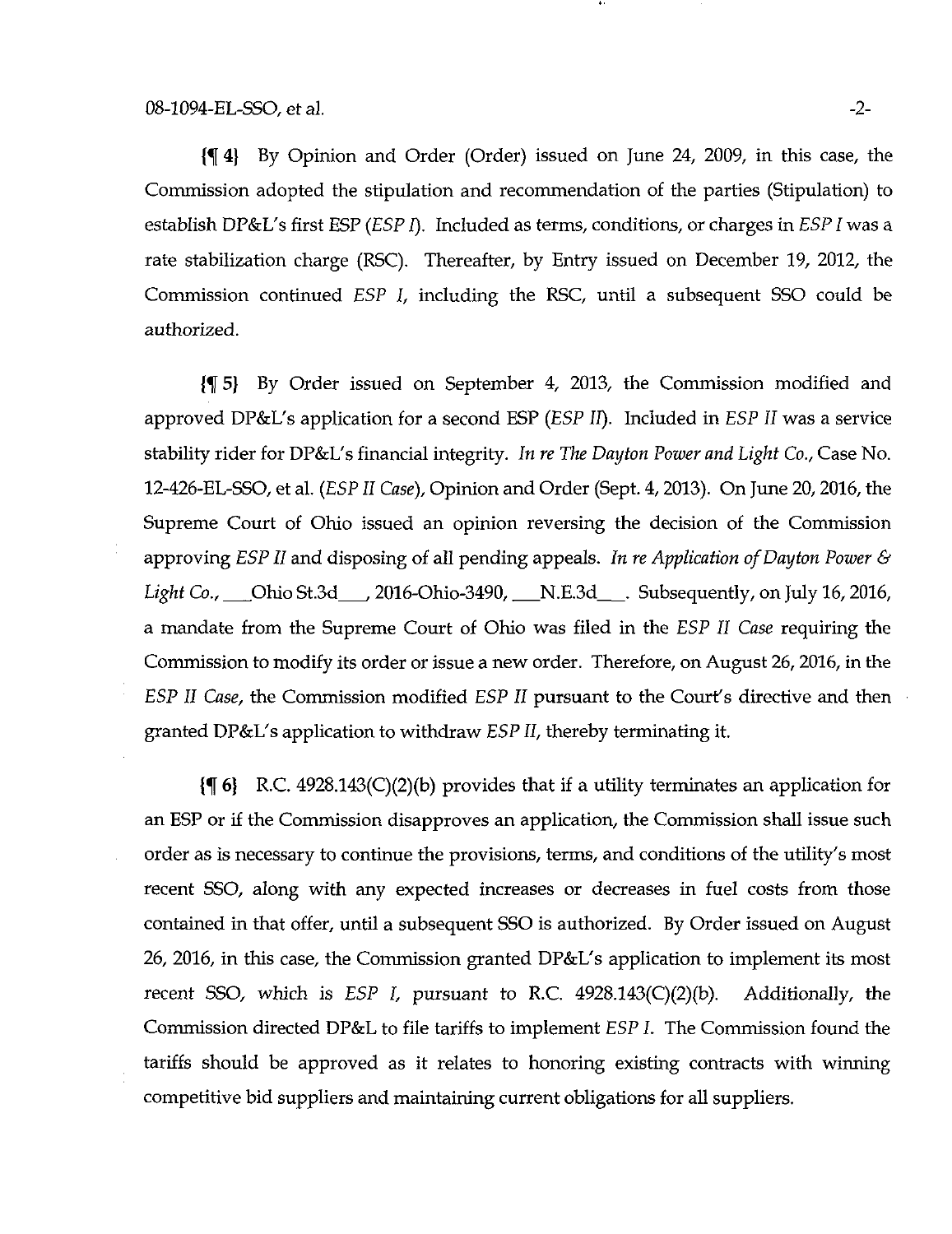{H 4) By Opinion and Order (Order) issued on June 24, 2009, in this case, the Commission adopted the stipulation and reconunendation of the parties (Stipulation) to establish DP&L's first ESP (ESP I). Included as terms, conditions, or charges in ESP I was a rate stabilization charge (RSC). Thereafter, by Entry issued on December 19, 2012, the Commission continued ESP I, including the RSC, until a subsequent SSO could be authorized.

{f 5} By Order issued on September 4, 2013, the Commission modified and approved DP&L's application for a second ESP (ESP 11). Included in ESP II was a service stability rider for DP&L's financial integrity. In re The Dayton Power and Light Co., Case No. 12-426-EL-SSO, et al. (ESP II Case), Opinion and Order (Sept. 4, 2013). On June 20, 2016, the Supreme Court of Ohio issued an opinion reversing the decision of the Commission approving ESP II and disposing of all pending appeals. In re Application of Dayton Power & Light Co., Ohio St.3d \_\_ 2016-Ohio-3490, \_\_ N.E.3d \_\_ Subsequently, on July 16, 2016, a mandate from the Supreme Court of Ohio was filed in the ESP II Case requiring the Commission to modify its order or issue a new order. Therefore, on August 26,2016, in the ESP II Case, the Commission modified ESP II pursuant to the Court's directive and then granted DP&L's application to withdraw ESP II, thereby terminating it.

 $\{\P_6\}$  R.C. 4928.143(C)(2)(b) provides that if a utility terminates an application for an ESP or if the Commission disapproves an application, the Commission shall issue such order as is necessary to continue the provisions, terms, and conditions of the utility's most recent SSO, along with any expected increases or decreases in fuel costs from those contained in that offer, until a subsequent SSO is authorized. By Order issued on August 26, 2016, in this case, the Commission granted DP&L's application to implement its most recent SSO, which is  $ESP$  I, pursuant to R.C.  $4928.143(C)(2)(b)$ . Additionally, the Commission directed DP&L to file tariffs to implement ESP L The Commission found the tariffs should be approved as it relates to honoring existing contracts with winning competitive bid suppliers and maintaining current obligations for all suppliers.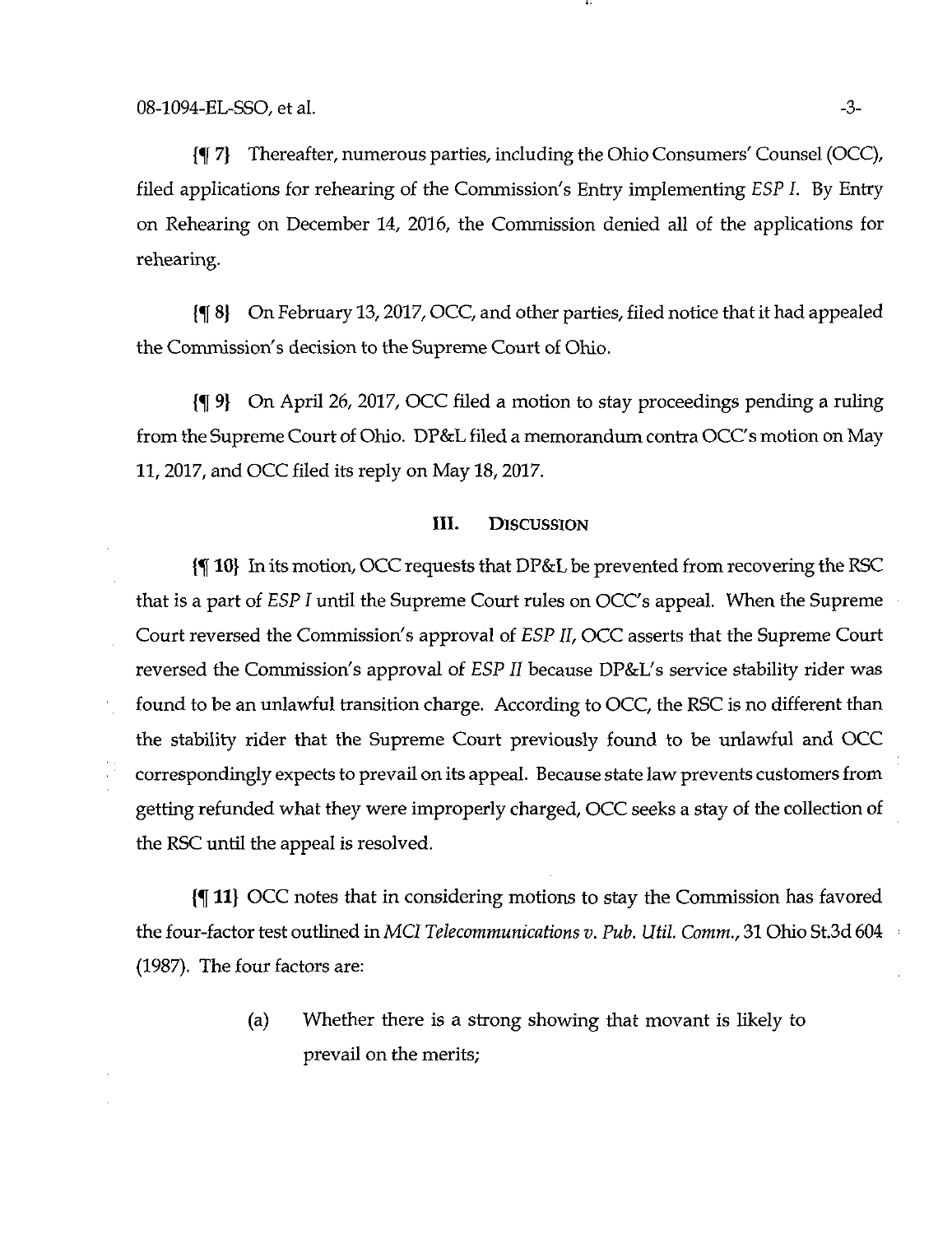{f 7) Thereafter, numerous parties, including the Ohio Consumers' Counsel (OCC), filed applications for rehearing of the Commission's Entry implementing ESP I. By Entry on Rehearing on December 14, 2016, the Commission denied all of the applications for rehearing.

{f 8) On February 13,2017, OCC, and other parties, filed notice that it had appealed the Commission's decision to the Supreme Court of Ohio.

{% 9] On April 26, 2017, OCC filed a motion to stay proceedings pending a ruling from the Supreme Court of Ohio. DP&L filed a memorandum contra OCC's motion on May 11, 2017, and OCC filed its reply on May 18,2017.

## III. DISCUSSION

{^ 10} In its motion, OCC requests that DP&L be prevented from recovering the RSC that is a part of ESP I until the Supreme Court rules on OCC's appeal. When the Supreme Court reversed the Commission's approval of ESP II, OCC asserts that the Supreme Court reversed the Commission's approval of ESP II because DP&L's service stability rider was found to be an unlawful transition charge. According to OCC, the RSC is no different than the stability rider that the Supreme Court previously found to be unlawful and OCC correspondingly expects to prevail on its appeal. Because state law prevents customers from getting refunded what they were improperly charged, OCC seeks a stay of the collection of the RSC until the appeal is resolved.

{^ 11) OCC notes that in considering motions to stay the Commission has favored the four-factor test outlined in MCI Telecommunications v. Pub. Util. Comm., 31 Ohio St.3d 604 (1987). The four factors are:

> (a) Whether there is a strong showing that movant is likely to prevail on the merits;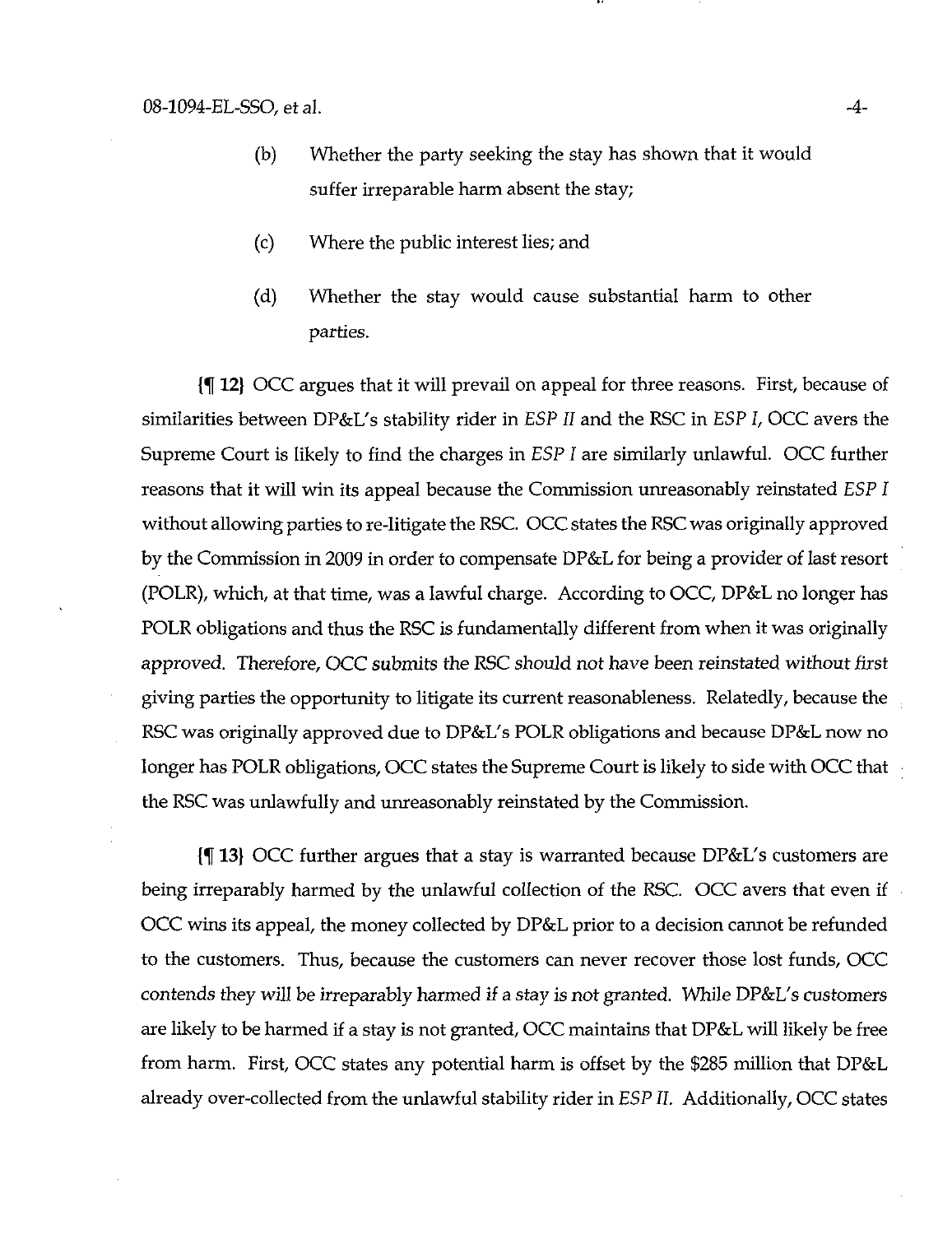- (b) Whether the party seeking the stay has shown that it would suffer irreparable harm absent the stay;
- (c) Where the public interest lies; and
- (d) Whether the stay would cause substantial harm to other parties.

(K 12) OCC argues that it will prevail on appeal for three reasons. First, because of similarities between DP&L's stability rider in ESP II and the RSC in ESP I, OCC avers the Supreme Court is likely to find the charges in ESP I are similarly unlawful. OCC further reasons that it will win its appeal because the Commission unreasonably reinstated ESP I without allowing parties to re-litigate the RSC. OCC states the RSC was originally approved by the Commission in 2009 in order to compensate DP&L for being a provider of last resort (POLR), which, at that time, was a lawful charge. According to OCC, DP&L no longer has POLR obligations and thus the RSC is fundamentally different from when it was originally approved. Therefore, OCC submits the RSC should not have been reinstated without first giving parties the opportunity to litigate its current reasonableness. Relatedly, because the RSC was originally approved due to DP&L's POLR obligations and because DP&L now no longer has POLR obligations, OCC states the Supreme Court is likely to side with OCC that the RSC was unlawfully and unreasonably reinstated by the Commission.

 $\lceil \cdot \rceil$  13) OCC further argues that a stay is warranted because DP&L's customers are being irreparably harmed by the unlawful collection of the RSC. OCC avers that even if OCC wins its appeal, the money collected by DP&L prior to a decision cannot be refunded to the customers. Thus, because the customers can never recover those lost funds, OCC contends they will be irreparably harmed if a stay is not granted. While DP&L's customers are likely to be harmed if a stay is not granted, OCC maintains that DP&L will likely be free from harm. First, OCC states any potential harm is offset by the \$285 million that DP&L already over-collected from the unlawful stability rider in ESP II. Additionally, OCC states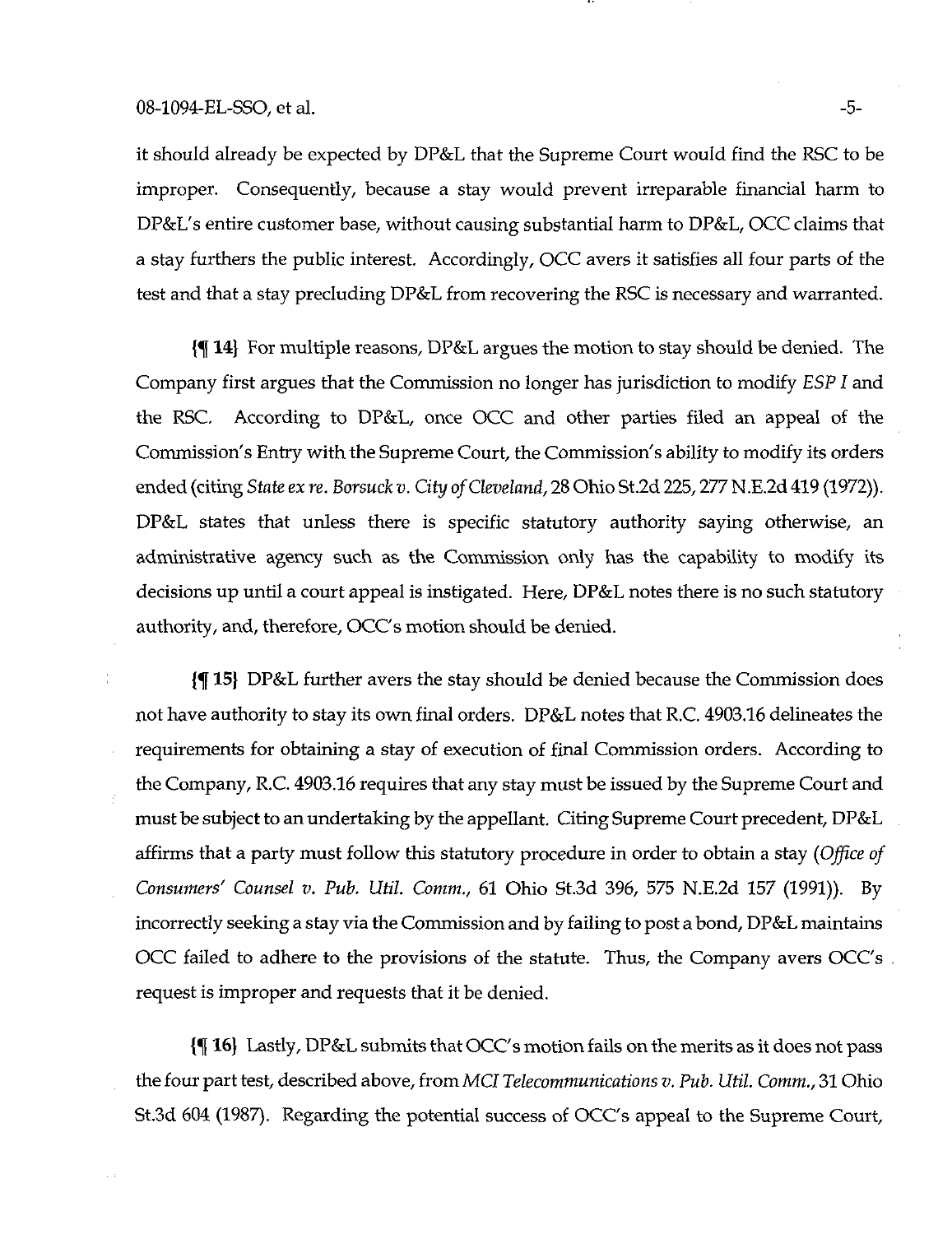## 08-1094-EL-SSO, et al.  $-5$ -

it should already be expected by DP&L that the Supreme Court would find the RSC to be improper. Consequently, because a stay would prevent irreparable financial harm to DP&L's entire customer base, without causing substantial harm to DP&L, OCC claims that a stay furthers the public interest. Accordingly, OCC avers it satisfies all four parts of the test and that a stay precluding DP&L from recovering the RSC is necessary and warranted.

(^ 14} For multiple reasons, DP&L argues the nnotion to stay should be denied. The Company first argues that the Commission no longer has jurisdiction to modify ESP I and the RSC. According to DP&L, once OCC and other parties filed an appeal of the Commission's Entry with the Supreme Court, the Commission's ability to modify its orders ended (citing State ex re. Borsuck v. City of Cleveland, 28 Ohio St.2d 225,277 N.E.2d 419 (1972)). DP&L states that unless there is specific statutory authority saying otherwise, an administrative agency such as the Commission only has the capability to modify its decisions up until a court appeal is instigated. Here, DP&L notes there is no such statutory authority, and, therefore, OCC's motion should be denied.

 $\{\P 15\}$  DP&L further avers the stay should be denied because the Commission does not have authority to stay its own final orders. DP&L notes that R.C. 4903.16 delineates the requirements for obtaining a stay of execution of final Commission orders. According to the Company, R.C. 4903.16 requires that any stay must be issued by the Supreme Court and must be subject to an undertaking by the appellant. Citing Supreme Court precedent, DP&L affirms that a party must follow this statutory procedure in order to obtain a stay (Office of Consumers' Counsel v. Pub. Util. Comm., 61 Ohio St.3d 396, 575 N.E.2d 157 (1991)). By incorrectly seeking a stay via the Commission and by failing to post a bond, DP&L maintains OCC failed to adhere to the provisions of the statute. Thus, the Company avers OCC's request is improper and requests that it be denied.

{% 16) Lastly, DP&L submits that OCC's motion fails on the merits as it does not pass the four part test, described above, from MCI Telecommunications v. Pub. Util. Comm., 31 Ohio St.3d 604 (1987). Regarding the potential success of OCC's appeal to the Supreme Court,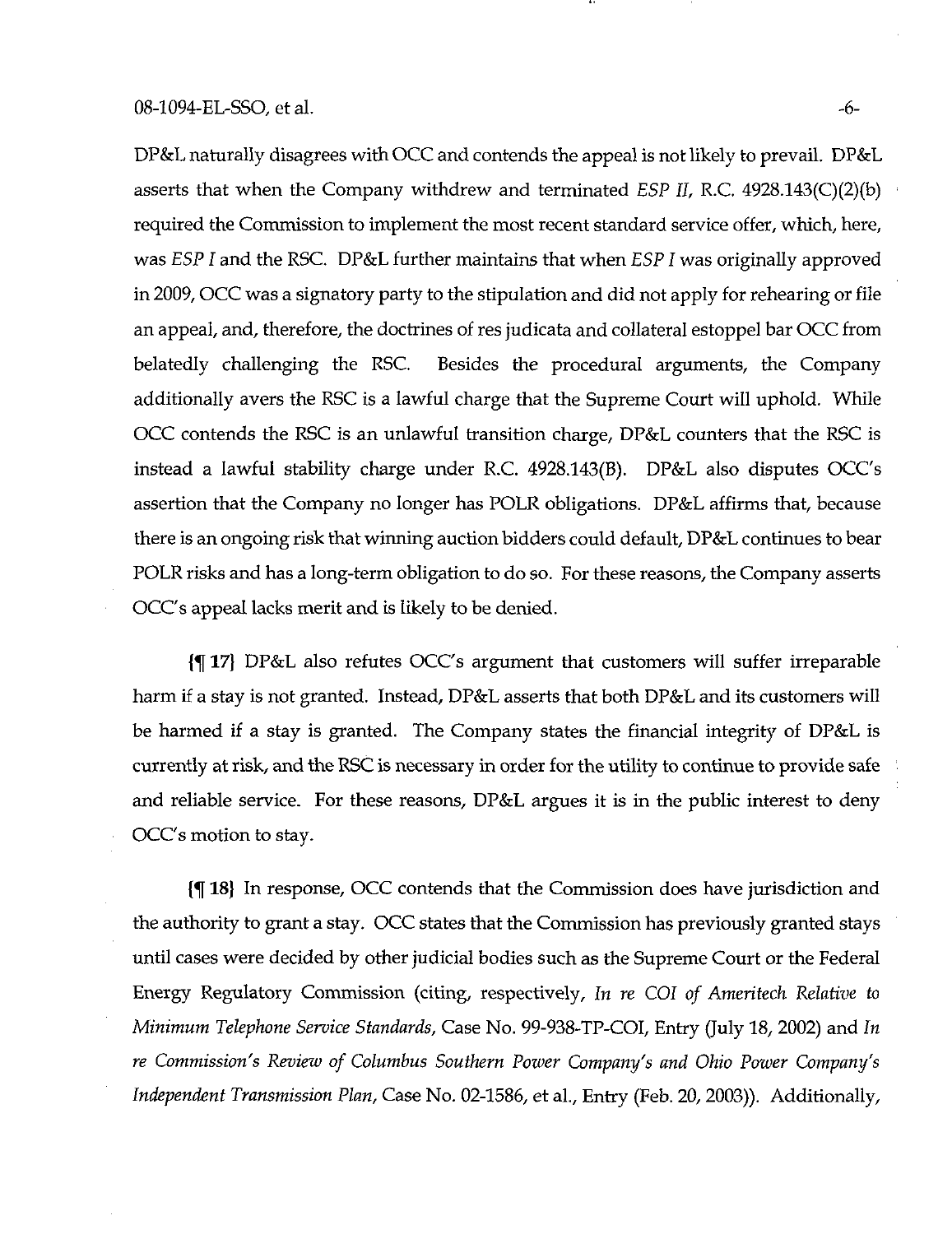DP&L naturally disagrees with OCC and contends the appeal is not likely to prevail. DP&L asserts that when the Company withdrew and terminated ESP II, R.C. 4928.143(C)(2)(b) required the Commission to implement the most recent standard service offer, which, here, was ESP I and the RSC. DP&L further maintains that when ESP I was originally approved in 2009, OCC was a signatory party to the stipulation and did not apply for rehearing or file an appeal, and, therefore, the doctrines of res judicata and collateral estoppel bar OCC from belatedly challenging the RSC. Besides the procedural arguments, the Company additionally avers the RSC is a lawful charge that the Supreme Court will uphold. While OCC contends the RSC is an unlawful transition charge, DP&L counters that the RSC is instead a lawful stability charge under R.C. 4928.143(B). DP&L also disputes OCC's assertion that the Company no longer has POLR obligations. DP&L affirms that, because there is an ongoing risk that wirming auction bidders could default, DP&L continues to bear POLR risks and has a long-term obligation to do so. For these reasons, the Company asserts OCC's appeal lacks merit and is likely to be denied.

{^ 17} DP&L also refutes OCC's argument that customers will suffer irreparable harm if a stay is not granted. Instead,  $DP&L$  asserts that both  $DP&L$  and its customers will be harmed if a stay is granted. The Company states the financial integrity of DP&L is currently at risk, and the RSC is necessary in order for the utility to continue to provide safe and reliable service. For these reasons, DP&L argues it is in the public interest to deny OCC's motion to stay.

[% 18} In response, OCC contends that the Commission does have jurisdiction and the authority to grant a stay. OCC states that the Commission has previously granted stays until cases were decided by other judicial bodies such as the Supreme Court or the Federal Energy Regulatory Commission (citing, respectively. In re CGI of Ameritech Relative to Minimum Telephone Service Standards, Case No. 99-938-TP-COI, Entry (July 18, 2002) and In re Commission's Review of Columbus Southern Power Company's and Ohio Power Company's Independent Transmission Plan, Case No. 02-1586, et al.. Entry (Feb. 20, 2003)). Additionally,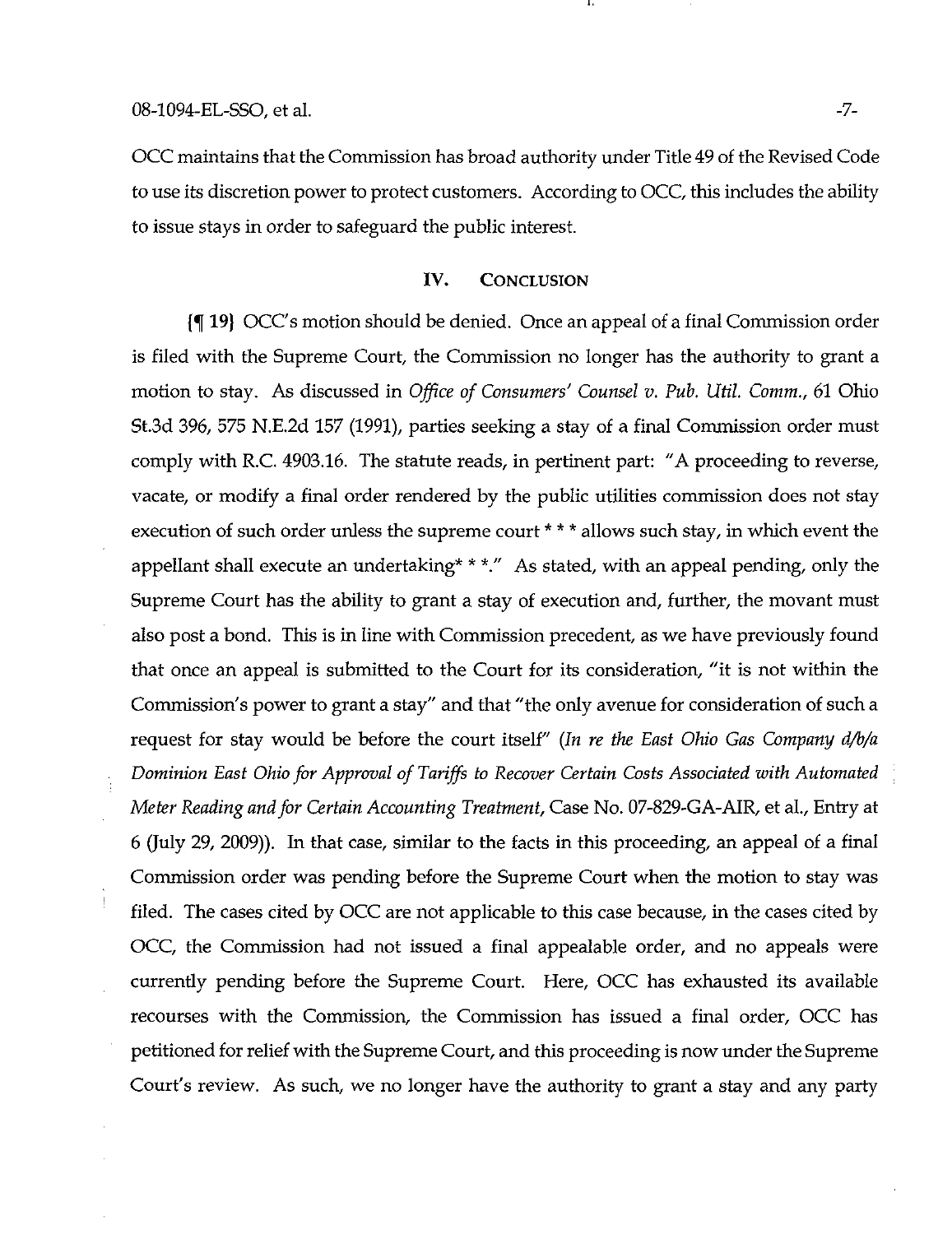OCC maintains that the Commission has broad authority under Title 49 of the Revised Code to use its discretion power to protect customers. According to OCC, this includes the ability to issue stays in order to safeguard the public interest.

## IV. CONCLUSION

{% 19) OCC's motion should be denied. Once an appeal of a final Commission order is filed with the Supreme Court, the Commission no longer has the authority to grant a motion to stay. As discussed in Office of Consumers' Counsel v. Pub. Util. Comm., 61 Ohio St.3d 396, 575 N.E.2d 157 (1991), parties seeking a stay of a final Commission order must comply with R.C. 4903.16. The statute reads, in pertinent part: "A proceeding to reverse, vacate, or modify a final order rendered by the public utilities commission does not stay execution of such order unless the supreme court \* \* \* allows such stay, in which event the appellant shall execute an undertaking\* \* \*." As stated, with an appeal pending, only the Supreme Court has the ability to grant a stay of execution and, further, the movant must also post a bond. This is in line with Commission precedent, as we have previously found that once an appeal is submitted to the Court for its consideration, "it is not within the Commission's power to grant a stay" and that "the only avenue for consideration of such a request for stay would be before the court itself" (In re the East Ohio Gas Company d/b/a Dominion East Ohio for Approval of Tariffs to Recover Certain Costs Associated with Automated Meter Reading and for Certain Accounting Treatment, Case No. 07-829-GA-AIR, et al.. Entry at 6 (July 29, 2009)). In that case, similar to the facts in this proceeding, an appeal of a final Commission order was pending before the Supreme Court when the motion to stay was filed. The cases cited by OCC are not applicable to this case because, in the cases cited by OCC, the Commission had not issued a final appealable order, and no appeals were currently pending before the Supreme Court. Here, OCC has exhausted its available recourses with the Commission, the Commission has issued a final order, OCC has petitioned for relief with the Supreme Court, and this proceeding is now under the Supreme Court's review. As such, we no longer have the authority to grant a stay and any party